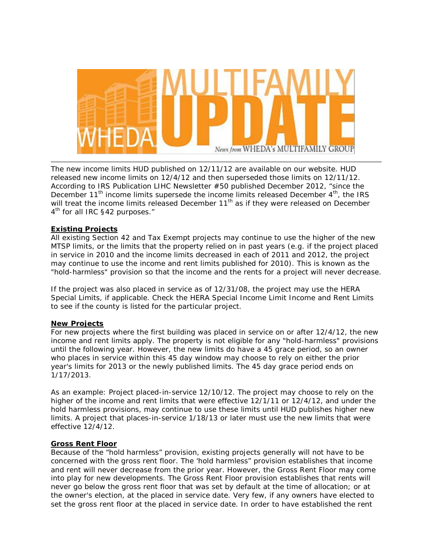

The new income limits HUD published on 12/11/12 are available on our website. HUD released new income limits on 12/4/12 and then superseded those limits on 12/11/12. According to IRS Publication LIHC Newsletter #50 published December 2012, "since the December 11<sup>th</sup> income limits supersede the income limits released December  $4<sup>th</sup>$ , the IRS will treat the income limits released December 11<sup>th</sup> as if they were released on December 4<sup>th</sup> for all IRC §42 purposes."

# **Existing Projects**

All existing Section 42 and Tax Exempt projects may continue to use the higher of the new MTSP limits, or the limits that the property relied on in past years (e.g. if the project placed in service in 2010 and the income limits decreased in each of 2011 and 2012, the project may continue to use the income and rent limits published for 2010). This is known as the "hold-harmless" provision so that the income and the rents for a project will never decrease.

If the project was also placed in service as of 12/31/08, the project may use the HERA Special Limits, if applicable. Check the HERA Special Income Limit Income and Rent Limits to see if the county is listed for the particular project.

# **New Projects**

For new projects where the first building was placed in service on or after 12/4/12, the new income and rent limits apply. The property is not eligible for any "hold-harmless" provisions until the following year. However, the new limits do have a 45 grace period, so an owner who places in service within this 45 day window may choose to rely on either the prior year's limits for 2013 or the newly published limits. The 45 day grace period ends on 1/17/2013.

As an example: Project placed-in-service 12/10/12. The project may choose to rely on the higher of the income and rent limits that were effective 12/1/11 or 12/4/12, and under the hold harmless provisions, may continue to use these limits until HUD publishes higher new limits. A project that places-in-service 1/18/13 or later must use the new limits that were effective 12/4/12.

# **Gross Rent Floor**

Because of the "hold harmless" provision, existing projects generally will not have to be concerned with the gross rent floor. The 'hold harmless" provision establishes that income and rent will never decrease from the prior year. However, the Gross Rent Floor may come into play for new developments. The Gross Rent Floor provision establishes that rents will never go below the gross rent floor that was set by default at the time of allocation; or at the owner's election, at the placed in service date. Very few, if any owners have elected to set the gross rent floor at the placed in service date. In order to have established the rent